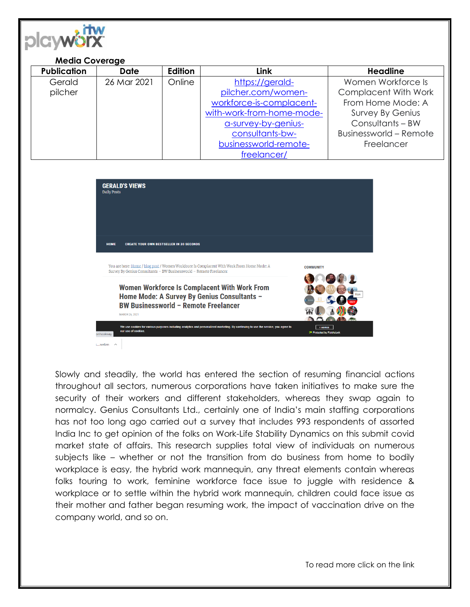

| <b>Media Coverage</b> |                    |             |         |                           |                               |
|-----------------------|--------------------|-------------|---------|---------------------------|-------------------------------|
|                       | <b>Publication</b> | <b>Date</b> | Edition | Link                      | <b>Headline</b>               |
|                       | Gerald             | 26 Mar 2021 | Online  | https://gerald-           | Women Workforce Is            |
|                       | pilcher            |             |         | pilcher.com/women-        | <b>Complacent With Work</b>   |
|                       |                    |             |         | workforce-is-complacent-  | From Home Mode: A             |
|                       |                    |             |         | with-work-from-home-mode- | <b>Survey By Genius</b>       |
|                       |                    |             |         | a-survey-by-genius-       | Consultants - BW              |
|                       |                    |             |         | consultants-bw-           | <b>Businessworld - Remote</b> |
|                       |                    |             |         | businessworld-remote-     | Freelancer                    |
|                       |                    |             |         | freelancer/               |                               |



Slowly and steadily, the world has entered the section of resuming financial actions throughout all sectors, numerous corporations have taken initiatives to make sure the security of their workers and different stakeholders, whereas they swap again to normalcy. Genius Consultants Ltd., certainly one of India's main staffing corporations has not too long ago carried out a survey that includes 993 respondents of assorted India Inc to get opinion of the folks on Work-Life Stability Dynamics on this submit covid market state of affairs. This research supplies total view of individuals on numerous subjects like – whether or not the transition from do business from home to bodily workplace is easy, the hybrid work mannequin, any threat elements contain whereas folks touring to work, feminine workforce face issue to juggle with residence & workplace or to settle within the hybrid work mannequin, children could face issue as their mother and father began resuming work, the impact of vaccination drive on the company world, and so on.

To read more click on the link